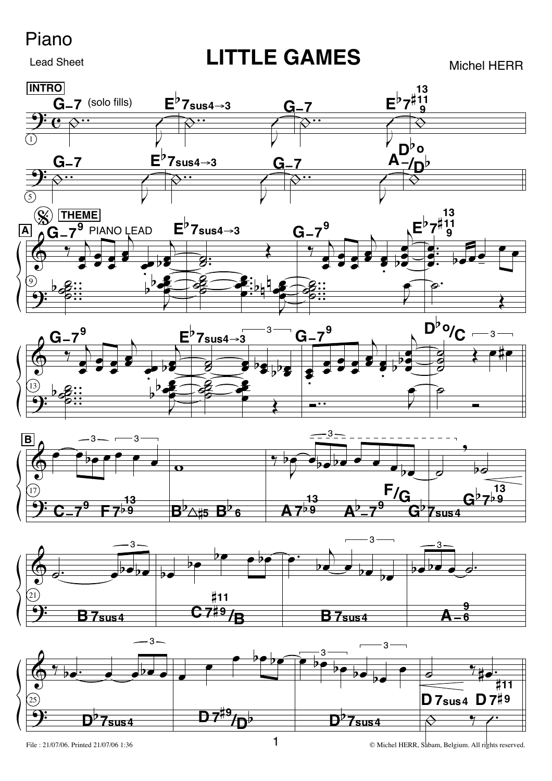## Piano

**Lead Sheet** 

**LITTLE GAMES** 

**Michel HERR** 



File: 21/07/06. Printed 21/07/06 1:36

© Michel HERR, Sabam, Belgium. All rights reserved.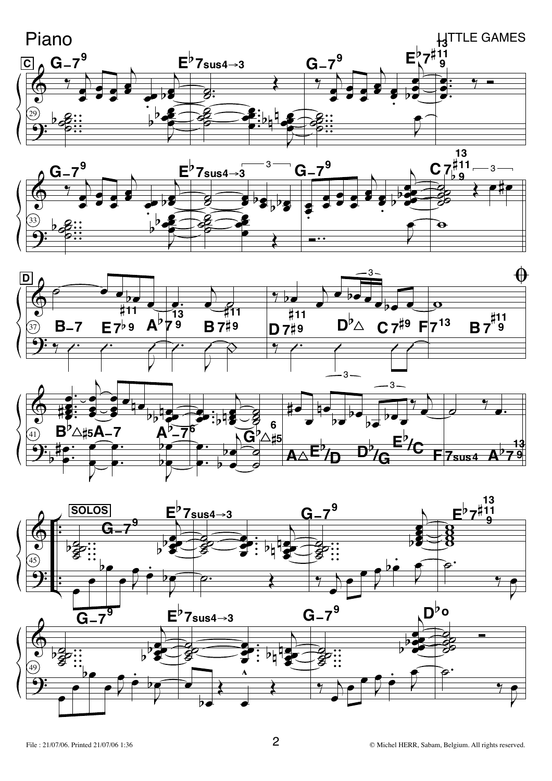





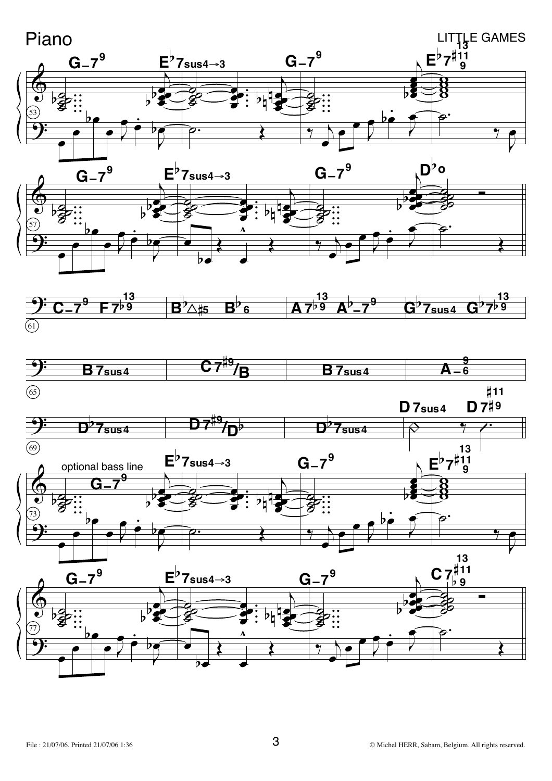